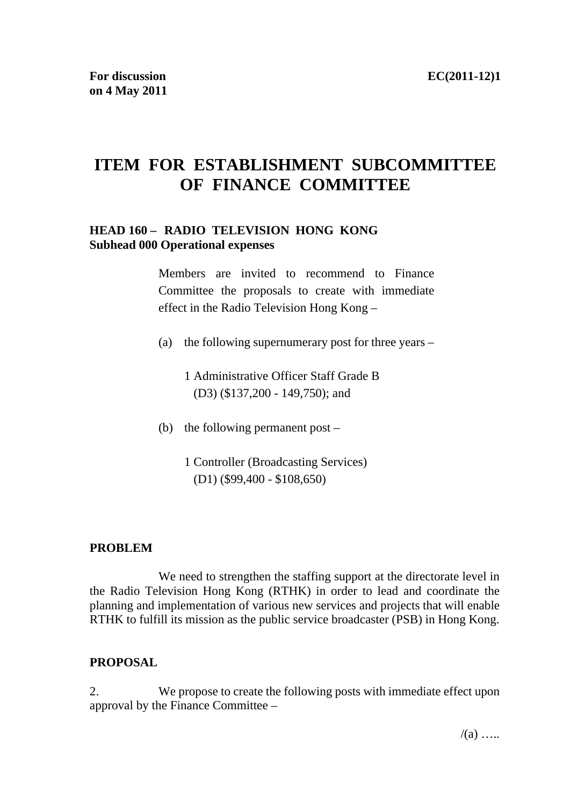# **ITEM FOR ESTABLISHMENT SUBCOMMITTEE OF FINANCE COMMITTEE**

## **HEAD 160 – RADIO TELEVISION HONG KONG Subhead 000 Operational expenses**

Members are invited to recommend to Finance Committee the proposals to create with immediate effect in the Radio Television Hong Kong –

- (a) the following supernumerary post for three years
	- 1 Administrative Officer Staff Grade B (D3) (\$137,200 - 149,750); and
- (b) the following permanent post
	- 1 Controller (Broadcasting Services) (D1) (\$99,400 - \$108,650)

#### **PROBLEM**

 We need to strengthen the staffing support at the directorate level in the Radio Television Hong Kong (RTHK) in order to lead and coordinate the planning and implementation of various new services and projects that will enable RTHK to fulfill its mission as the public service broadcaster (PSB) in Hong Kong.

#### **PROPOSAL**

2. We propose to create the following posts with immediate effect upon approval by the Finance Committee –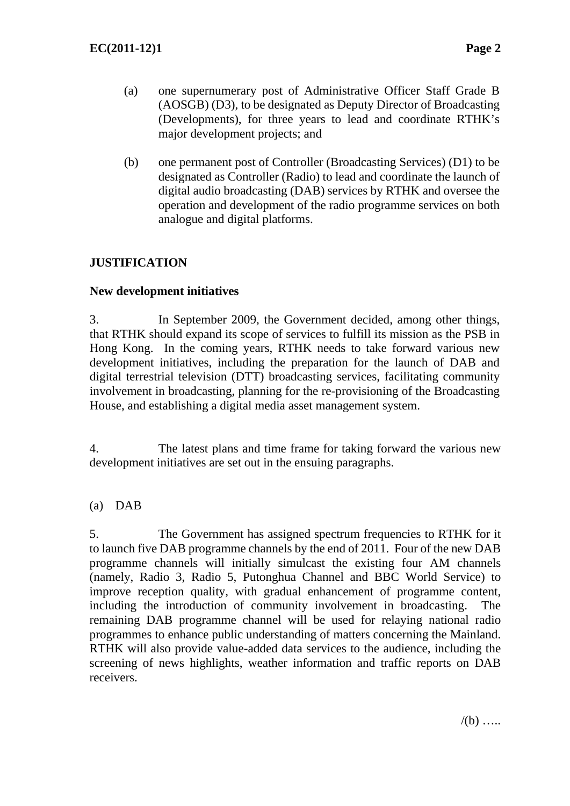- (a) one supernumerary post of Administrative Officer Staff Grade B (AOSGB) (D3), to be designated as Deputy Director of Broadcasting (Developments), for three years to lead and coordinate RTHK's major development projects; and
- (b) one permanent post of Controller (Broadcasting Services) (D1) to be designated as Controller (Radio) to lead and coordinate the launch of digital audio broadcasting (DAB) services by RTHK and oversee the operation and development of the radio programme services on both analogue and digital platforms.

# **JUSTIFICATION**

## **New development initiatives**

3. In September 2009, the Government decided, among other things, that RTHK should expand its scope of services to fulfill its mission as the PSB in Hong Kong. In the coming years, RTHK needs to take forward various new development initiatives, including the preparation for the launch of DAB and digital terrestrial television (DTT) broadcasting services, facilitating community involvement in broadcasting, planning for the re-provisioning of the Broadcasting House, and establishing a digital media asset management system.

4. The latest plans and time frame for taking forward the various new development initiatives are set out in the ensuing paragraphs.

# (a) DAB

5. The Government has assigned spectrum frequencies to RTHK for it to launch five DAB programme channels by the end of 2011. Four of the new DAB programme channels will initially simulcast the existing four AM channels (namely, Radio 3, Radio 5, Putonghua Channel and BBC World Service) to improve reception quality, with gradual enhancement of programme content, including the introduction of community involvement in broadcasting. The remaining DAB programme channel will be used for relaying national radio programmes to enhance public understanding of matters concerning the Mainland. RTHK will also provide value-added data services to the audience, including the screening of news highlights, weather information and traffic reports on DAB receivers.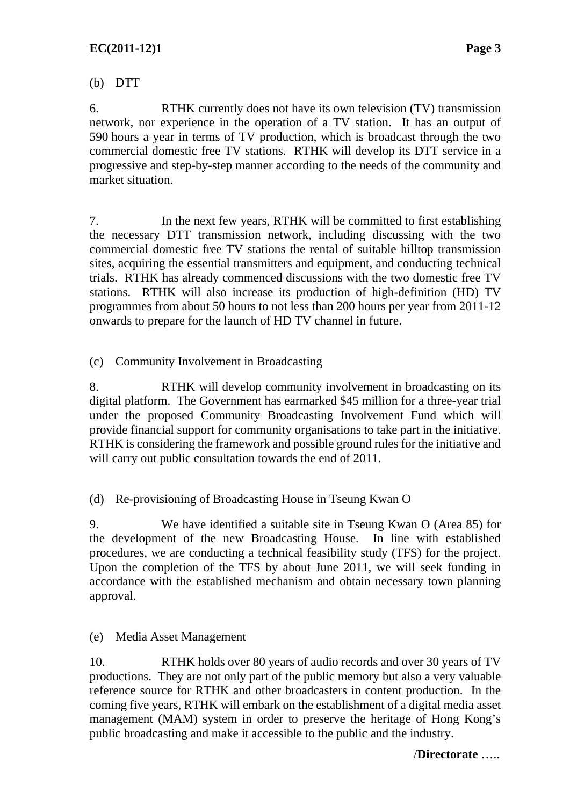(b) DTT

6. RTHK currently does not have its own television (TV) transmission network, nor experience in the operation of a TV station. It has an output of 590 hours a year in terms of TV production, which is broadcast through the two commercial domestic free TV stations. RTHK will develop its DTT service in a progressive and step-by-step manner according to the needs of the community and market situation.

7. In the next few years, RTHK will be committed to first establishing the necessary DTT transmission network, including discussing with the two commercial domestic free TV stations the rental of suitable hilltop transmission sites, acquiring the essential transmitters and equipment, and conducting technical trials. RTHK has already commenced discussions with the two domestic free TV stations. RTHK will also increase its production of high-definition (HD) TV programmes from about 50 hours to not less than 200 hours per year from 2011-12 onwards to prepare for the launch of HD TV channel in future.

(c) Community Involvement in Broadcasting

8. RTHK will develop community involvement in broadcasting on its digital platform. The Government has earmarked \$45 million for a three-year trial under the proposed Community Broadcasting Involvement Fund which will provide financial support for community organisations to take part in the initiative. RTHK is considering the framework and possible ground rules for the initiative and will carry out public consultation towards the end of 2011.

(d) Re-provisioning of Broadcasting House in Tseung Kwan O

9. We have identified a suitable site in Tseung Kwan O (Area 85) for the development of the new Broadcasting House. In line with established procedures, we are conducting a technical feasibility study (TFS) for the project. Upon the completion of the TFS by about June 2011, we will seek funding in accordance with the established mechanism and obtain necessary town planning approval.

(e) Media Asset Management

10. RTHK holds over 80 years of audio records and over 30 years of TV productions. They are not only part of the public memory but also a very valuable reference source for RTHK and other broadcasters in content production. In the coming five years, RTHK will embark on the establishment of a digital media asset management (MAM) system in order to preserve the heritage of Hong Kong's public broadcasting and make it accessible to the public and the industry.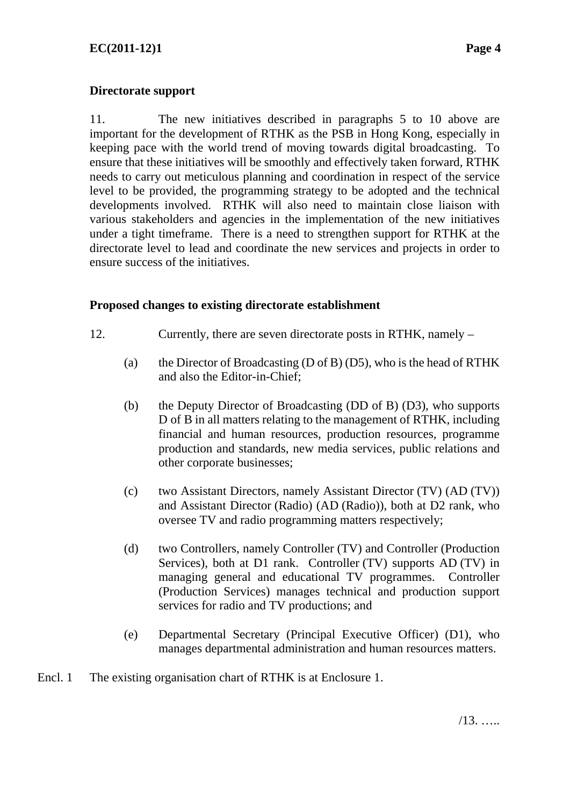## **Directorate support**

11. The new initiatives described in paragraphs 5 to 10 above are important for the development of RTHK as the PSB in Hong Kong, especially in keeping pace with the world trend of moving towards digital broadcasting. To ensure that these initiatives will be smoothly and effectively taken forward, RTHK needs to carry out meticulous planning and coordination in respect of the service level to be provided, the programming strategy to be adopted and the technical developments involved. RTHK will also need to maintain close liaison with various stakeholders and agencies in the implementation of the new initiatives under a tight timeframe. There is a need to strengthen support for RTHK at the directorate level to lead and coordinate the new services and projects in order to ensure success of the initiatives.

#### **Proposed changes to existing directorate establishment**

- 12. Currently, there are seven directorate posts in RTHK, namely
	- (a) the Director of Broadcasting (D of B) (D5), who is the head of RTHK and also the Editor-in-Chief;
	- (b) the Deputy Director of Broadcasting (DD of B) (D3), who supports D of B in all matters relating to the management of RTHK, including financial and human resources, production resources, programme production and standards, new media services, public relations and other corporate businesses;
	- (c) two Assistant Directors, namely Assistant Director (TV) (AD (TV)) and Assistant Director (Radio) (AD (Radio)), both at D2 rank, who oversee TV and radio programming matters respectively;
	- (d) two Controllers, namely Controller (TV) and Controller (Production Services), both at D1 rank. Controller (TV) supports AD (TV) in managing general and educational TV programmes. Controller (Production Services) manages technical and production support services for radio and TV productions; and
	- (e) Departmental Secretary (Principal Executive Officer) (D1), who manages departmental administration and human resources matters.
- The existing organisation chart of RTHK is at Enclosure 1. Encl. 1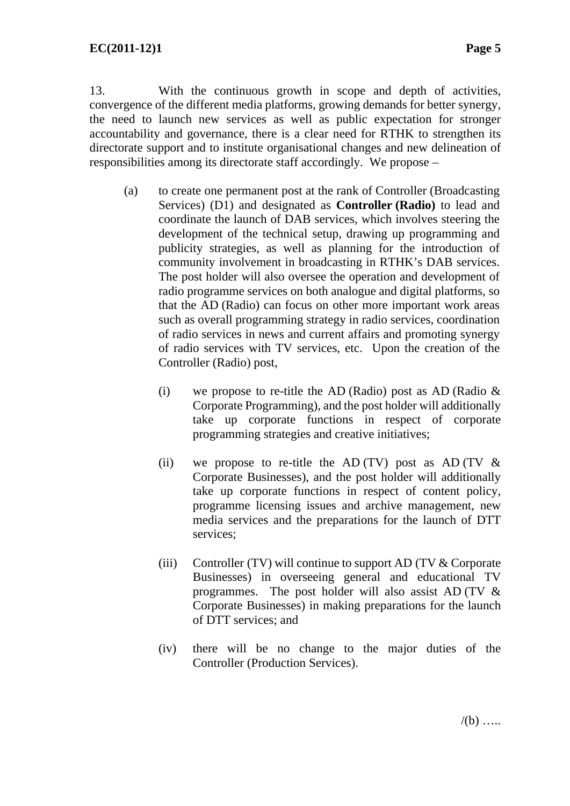13. With the continuous growth in scope and depth of activities, convergence of the different media platforms, growing demands for better synergy, the need to launch new services as well as public expectation for stronger accountability and governance, there is a clear need for RTHK to strengthen its directorate support and to institute organisational changes and new delineation of responsibilities among its directorate staff accordingly. We propose –

- (a) to create one permanent post at the rank of Controller (Broadcasting Services) (D1) and designated as **Controller (Radio)** to lead and coordinate the launch of DAB services, which involves steering the development of the technical setup, drawing up programming and publicity strategies, as well as planning for the introduction of community involvement in broadcasting in RTHK's DAB services. The post holder will also oversee the operation and development of radio programme services on both analogue and digital platforms, so that the AD (Radio) can focus on other more important work areas such as overall programming strategy in radio services, coordination of radio services in news and current affairs and promoting synergy of radio services with TV services, etc. Upon the creation of the Controller (Radio) post,
	- (i) we propose to re-title the AD (Radio) post as AD (Radio  $\&$ Corporate Programming), and the post holder will additionally take up corporate functions in respect of corporate programming strategies and creative initiatives;
	- (ii) we propose to re-title the AD (TV) post as AD (TV  $\&$ Corporate Businesses), and the post holder will additionally take up corporate functions in respect of content policy, programme licensing issues and archive management, new media services and the preparations for the launch of DTT services;
	- (iii) Controller (TV) will continue to support AD (TV  $&$  Corporate Businesses) in overseeing general and educational TV programmes. The post holder will also assist AD (TV & Corporate Businesses) in making preparations for the launch of DTT services; and
	- (iv) there will be no change to the major duties of the Controller (Production Services).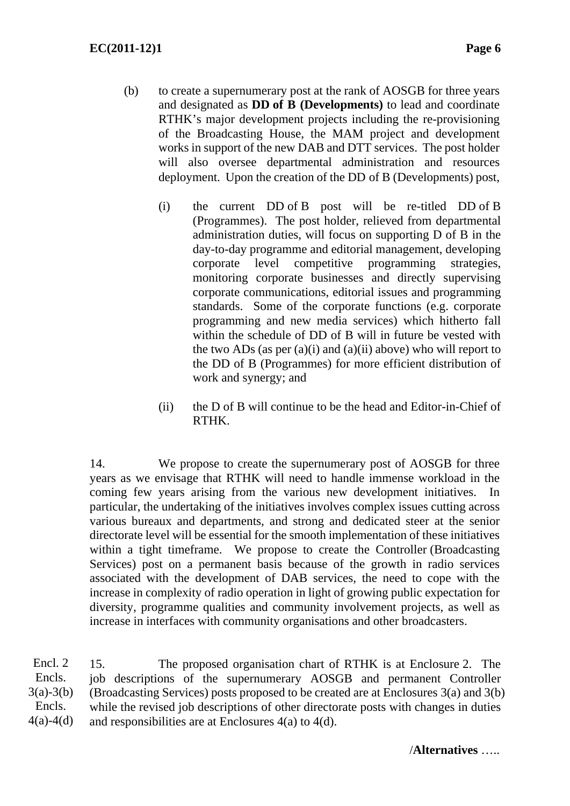- (b) to create a supernumerary post at the rank of AOSGB for three years and designated as **DD of B (Developments)** to lead and coordinate RTHK's major development projects including the re-provisioning of the Broadcasting House, the MAM project and development works in support of the new DAB and DTT services. The post holder will also oversee departmental administration and resources deployment. Upon the creation of the DD of B (Developments) post,
	- (i) the current DD of B post will be re-titled DD of B (Programmes). The post holder, relieved from departmental administration duties, will focus on supporting D of B in the day-to-day programme and editorial management, developing corporate level competitive programming strategies, monitoring corporate businesses and directly supervising corporate communications, editorial issues and programming standards. Some of the corporate functions (e.g. corporate programming and new media services) which hitherto fall within the schedule of DD of B will in future be vested with the two ADs (as per  $(a)(i)$  and  $(a)(ii)$  above) who will report to the DD of B (Programmes) for more efficient distribution of work and synergy; and
	- (ii) the D of B will continue to be the head and Editor-in-Chief of RTHK.

14. We propose to create the supernumerary post of AOSGB for three years as we envisage that RTHK will need to handle immense workload in the coming few years arising from the various new development initiatives. In particular, the undertaking of the initiatives involves complex issues cutting across various bureaux and departments, and strong and dedicated steer at the senior directorate level will be essential for the smooth implementation of these initiatives within a tight timeframe. We propose to create the Controller (Broadcasting Services) post on a permanent basis because of the growth in radio services associated with the development of DAB services, the need to cope with the increase in complexity of radio operation in light of growing public expectation for diversity, programme qualities and community involvement projects, as well as increase in interfaces with community organisations and other broadcasters.

15. The proposed organisation chart of RTHK is at Enclosure 2. The job descriptions of the supernumerary AOSGB and permanent Controller (Broadcasting Services) posts proposed to be created are at Enclosures 3(a) and 3(b) while the revised job descriptions of other directorate posts with changes in duties and responsibilities are at Enclosures 4(a) to 4(d). Encl. 2 Encls.  $3(a) - 3(b)$ Encls.  $4(a) - 4(d)$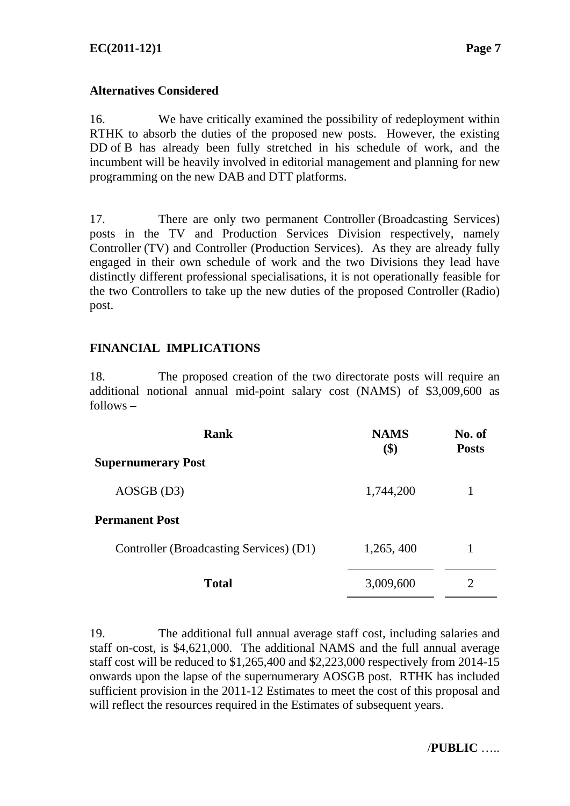#### **Alternatives Considered**

16. We have critically examined the possibility of redeployment within RTHK to absorb the duties of the proposed new posts. However, the existing DD of B has already been fully stretched in his schedule of work, and the incumbent will be heavily involved in editorial management and planning for new programming on the new DAB and DTT platforms.

17. There are only two permanent Controller (Broadcasting Services) posts in the TV and Production Services Division respectively, namely Controller (TV) and Controller (Production Services). As they are already fully engaged in their own schedule of work and the two Divisions they lead have distinctly different professional specialisations, it is not operationally feasible for the two Controllers to take up the new duties of the proposed Controller (Radio) post.

#### **FINANCIAL IMPLICATIONS**

18. The proposed creation of the two directorate posts will require an additional notional annual mid-point salary cost (NAMS) of \$3,009,600 as follows –

| Rank                                    | <b>NAMS</b><br>\$) | No. of<br><b>Posts</b> |  |
|-----------------------------------------|--------------------|------------------------|--|
| <b>Supernumerary Post</b>               |                    |                        |  |
| $AOSGB$ (D3)                            | 1,744,200          |                        |  |
| <b>Permanent Post</b>                   |                    |                        |  |
| Controller (Broadcasting Services) (D1) | 1,265,400          |                        |  |
| <b>Total</b>                            | 3,009,600          |                        |  |

19. The additional full annual average staff cost, including salaries and staff on-cost, is \$4,621,000. The additional NAMS and the full annual average staff cost will be reduced to \$1,265,400 and \$2,223,000 respectively from 2014-15 onwards upon the lapse of the supernumerary AOSGB post. RTHK has included sufficient provision in the 2011-12 Estimates to meet the cost of this proposal and will reflect the resources required in the Estimates of subsequent years.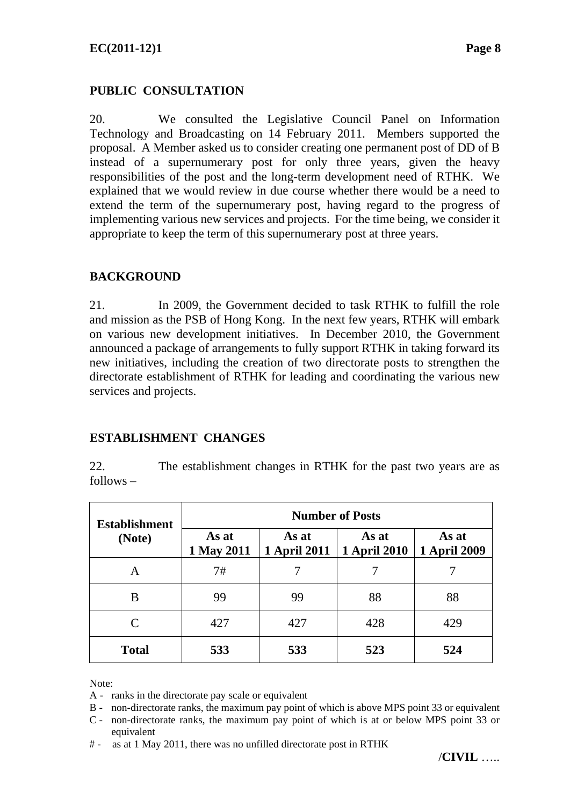# **PUBLIC CONSULTATION**

20. We consulted the Legislative Council Panel on Information Technology and Broadcasting on 14 February 2011. Members supported the proposal. A Member asked us to consider creating one permanent post of DD of B instead of a supernumerary post for only three years, given the heavy responsibilities of the post and the long-term development need of RTHK. We explained that we would review in due course whether there would be a need to extend the term of the supernumerary post, having regard to the progress of implementing various new services and projects. For the time being, we consider it appropriate to keep the term of this supernumerary post at three years.

# **BACKGROUND**

21. In 2009, the Government decided to task RTHK to fulfill the role and mission as the PSB of Hong Kong. In the next few years, RTHK will embark on various new development initiatives. In December 2010, the Government announced a package of arrangements to fully support RTHK in taking forward its new initiatives, including the creation of two directorate posts to strengthen the directorate establishment of RTHK for leading and coordinating the various new services and projects.

#### **ESTABLISHMENT CHANGES**

22. The establishment changes in RTHK for the past two years are as follows –

| <b>Establishment</b><br>(Note) | <b>Number of Posts</b> |                              |                              |                              |  |
|--------------------------------|------------------------|------------------------------|------------------------------|------------------------------|--|
|                                | As at<br>1 May 2011    | As at<br><b>1 April 2011</b> | As at<br><b>1 April 2010</b> | As at<br><b>1 April 2009</b> |  |
| A                              | 7#                     |                              |                              |                              |  |
| B                              | 99                     | 99                           | 88                           | 88                           |  |
| C                              | 427                    | 427                          | 428                          | 429                          |  |
| <b>Total</b>                   | 533                    | 533                          | 523                          | 524                          |  |

Note:

A - ranks in the directorate pay scale or equivalent

B - non-directorate ranks, the maximum pay point of which is above MPS point 33 or equivalent

C - non-directorate ranks, the maximum pay point of which is at or below MPS point 33 or equivalent

# - as at 1 May 2011, there was no unfilled directorate post in RTHK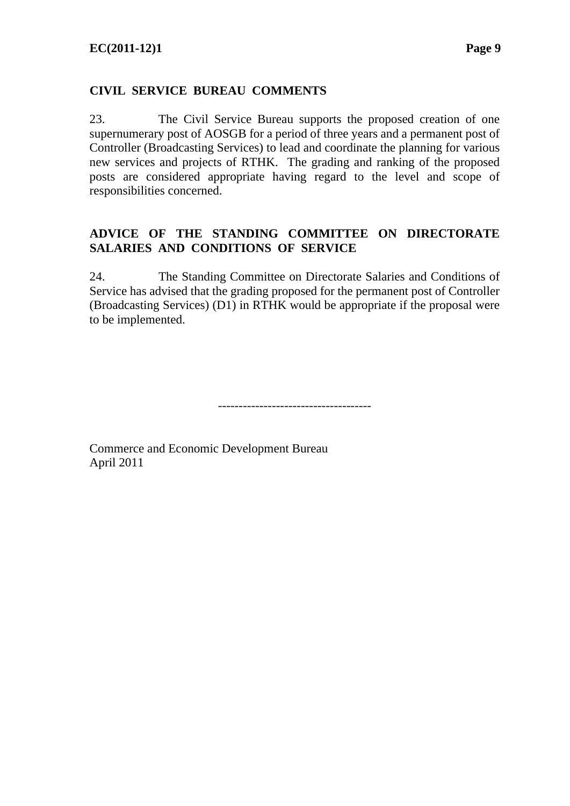## **CIVIL SERVICE BUREAU COMMENTS**

23. The Civil Service Bureau supports the proposed creation of one supernumerary post of AOSGB for a period of three years and a permanent post of Controller (Broadcasting Services) to lead and coordinate the planning for various new services and projects of RTHK. The grading and ranking of the proposed posts are considered appropriate having regard to the level and scope of responsibilities concerned.

#### **ADVICE OF THE STANDING COMMITTEE ON DIRECTORATE SALARIES AND CONDITIONS OF SERVICE**

24. The Standing Committee on Directorate Salaries and Conditions of Service has advised that the grading proposed for the permanent post of Controller (Broadcasting Services) (D1) in RTHK would be appropriate if the proposal were to be implemented.

-------------------------------------

Commerce and Economic Development Bureau April 2011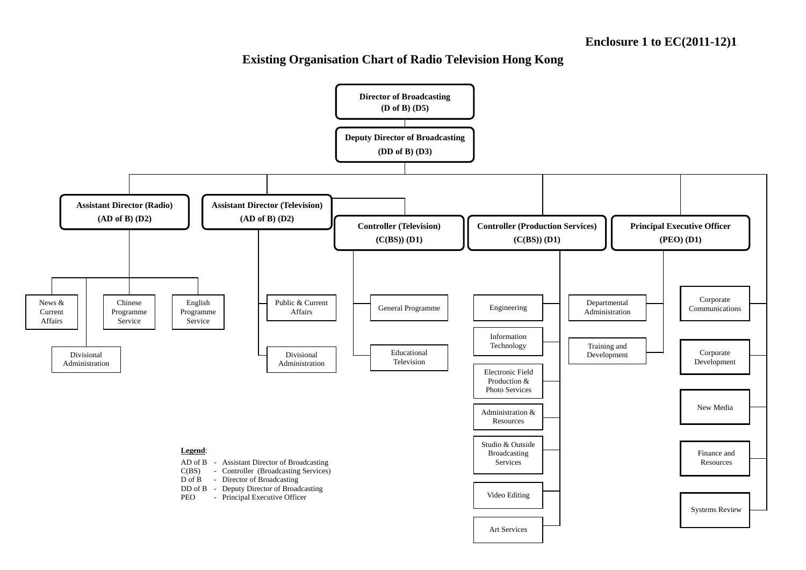#### **Existing Organisation Chart of Radio Television Hong Kong**

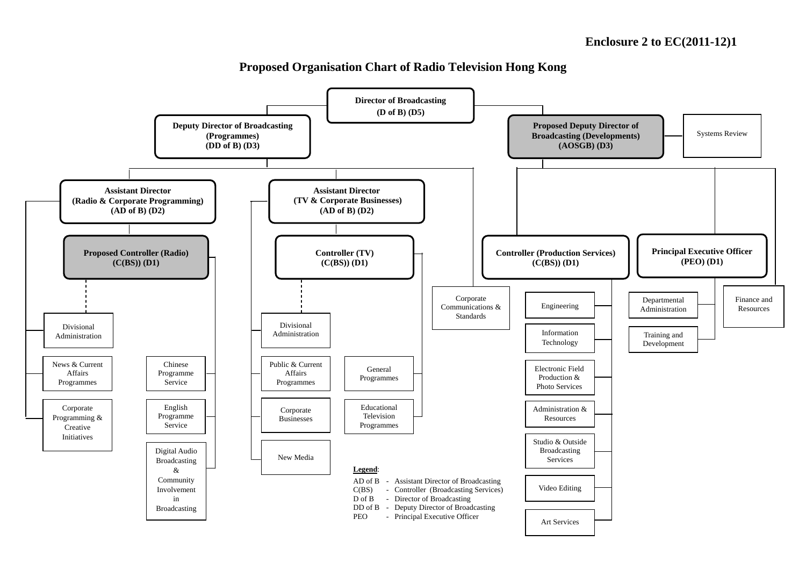

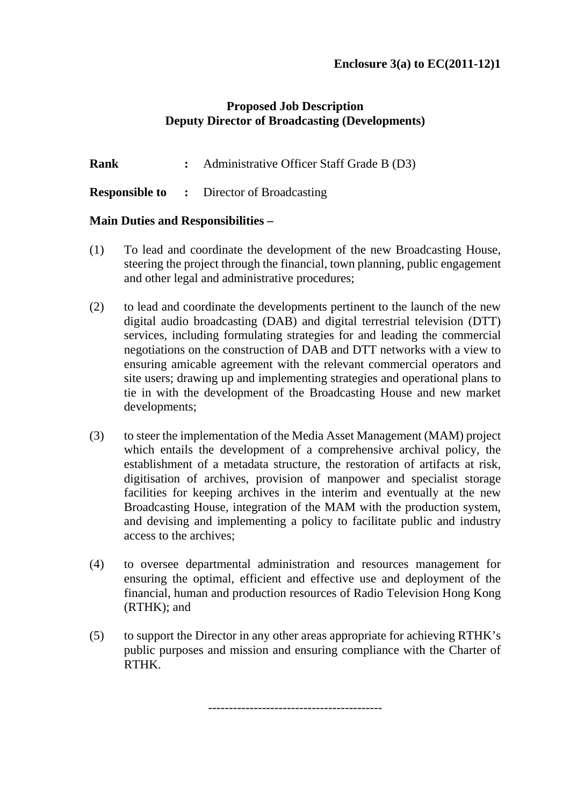## **Proposed Job Description Deputy Director of Broadcasting (Developments)**

**Rank** : Administrative Officer Staff Grade B (D3)

**Responsible to :** Director of Broadcasting

#### **Main Duties and Responsibilities –**

- (1) To lead and coordinate the development of the new Broadcasting House, steering the project through the financial, town planning, public engagement and other legal and administrative procedures;
- (2) to lead and coordinate the developments pertinent to the launch of the new digital audio broadcasting (DAB) and digital terrestrial television (DTT) services, including formulating strategies for and leading the commercial negotiations on the construction of DAB and DTT networks with a view to ensuring amicable agreement with the relevant commercial operators and site users; drawing up and implementing strategies and operational plans to tie in with the development of the Broadcasting House and new market developments;
- (3) to steer the implementation of the Media Asset Management (MAM) project which entails the development of a comprehensive archival policy, the establishment of a metadata structure, the restoration of artifacts at risk, digitisation of archives, provision of manpower and specialist storage facilities for keeping archives in the interim and eventually at the new Broadcasting House, integration of the MAM with the production system, and devising and implementing a policy to facilitate public and industry access to the archives;
- (4) to oversee departmental administration and resources management for ensuring the optimal, efficient and effective use and deployment of the financial, human and production resources of Radio Television Hong Kong (RTHK); and
- (5) to support the Director in any other areas appropriate for achieving RTHK's public purposes and mission and ensuring compliance with the Charter of RTHK.

------------------------------------------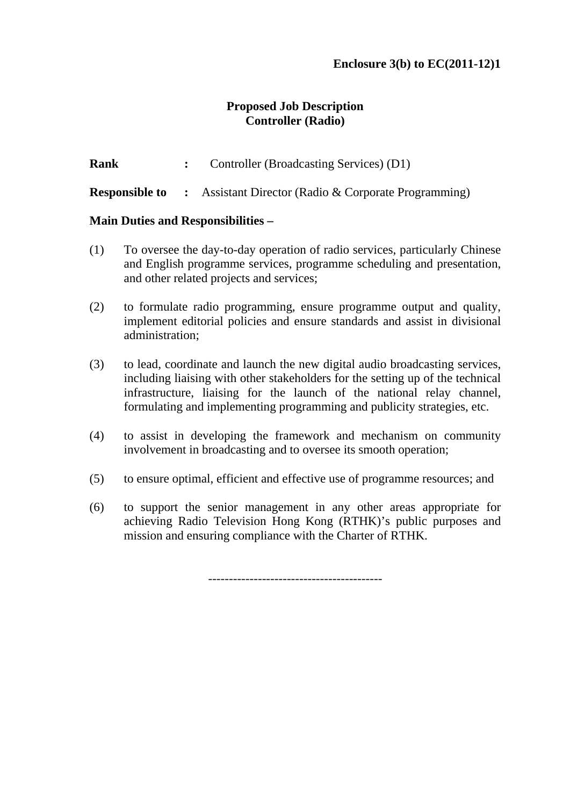## **Proposed Job Description Controller (Radio)**

**Rank** : Controller (Broadcasting Services) (D1)

**Responsible to** : Assistant Director (Radio & Corporate Programming)

#### **Main Duties and Responsibilities –**

- (1) To oversee the day-to-day operation of radio services, particularly Chinese and English programme services, programme scheduling and presentation, and other related projects and services;
- (2) to formulate radio programming, ensure programme output and quality, implement editorial policies and ensure standards and assist in divisional administration;
- (3) to lead, coordinate and launch the new digital audio broadcasting services, including liaising with other stakeholders for the setting up of the technical infrastructure, liaising for the launch of the national relay channel, formulating and implementing programming and publicity strategies, etc.
- (4) to assist in developing the framework and mechanism on community involvement in broadcasting and to oversee its smooth operation;
- (5) to ensure optimal, efficient and effective use of programme resources; and
- (6) to support the senior management in any other areas appropriate for achieving Radio Television Hong Kong (RTHK)'s public purposes and mission and ensuring compliance with the Charter of RTHK.

------------------------------------------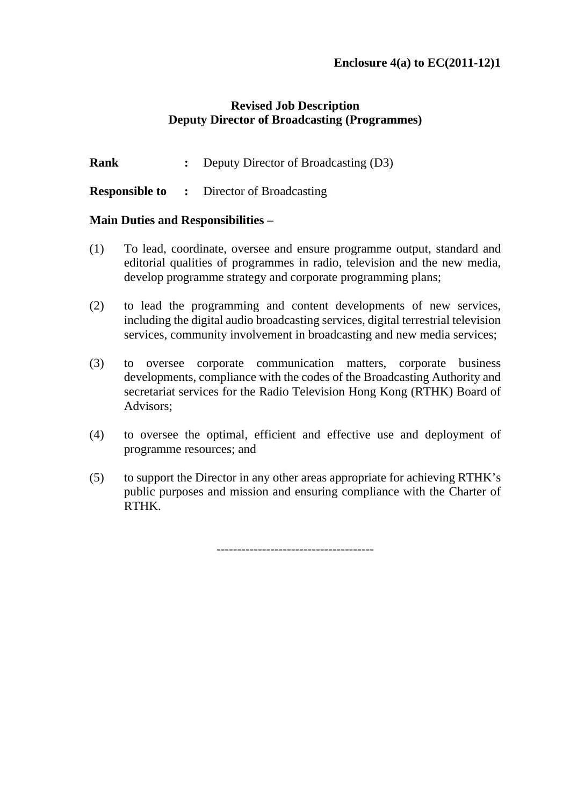## **Revised Job Description Deputy Director of Broadcasting (Programmes)**

**Rank** : Deputy Director of Broadcasting (D3)

**Responsible to :** Director of Broadcasting

## **Main Duties and Responsibilities –**

- (1) To lead, coordinate, oversee and ensure programme output, standard and editorial qualities of programmes in radio, television and the new media, develop programme strategy and corporate programming plans;
- (2) to lead the programming and content developments of new services, including the digital audio broadcasting services, digital terrestrial television services, community involvement in broadcasting and new media services;
- (3) to oversee corporate communication matters, corporate business developments, compliance with the codes of the Broadcasting Authority and secretariat services for the Radio Television Hong Kong (RTHK) Board of Advisors;
- (4) to oversee the optimal, efficient and effective use and deployment of programme resources; and
- (5) to support the Director in any other areas appropriate for achieving RTHK's public purposes and mission and ensuring compliance with the Charter of RTHK.

--------------------------------------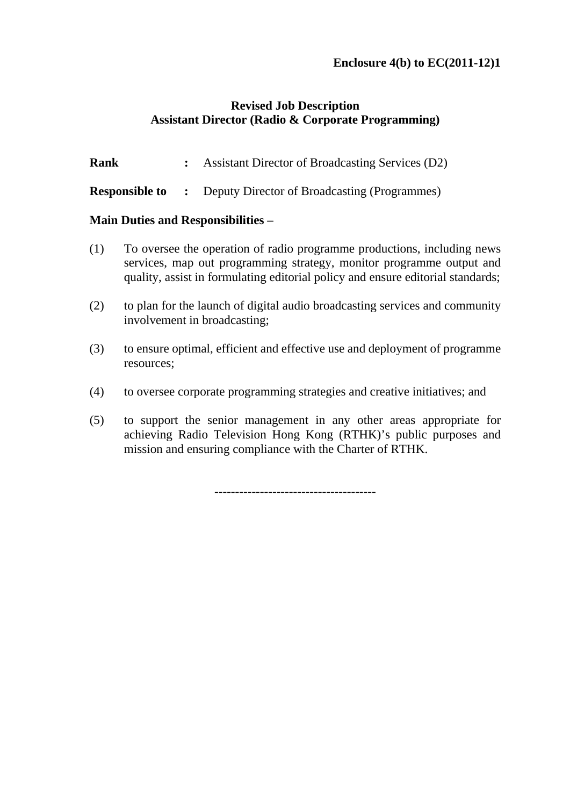## **Revised Job Description Assistant Director (Radio & Corporate Programming)**

| <b>Rank</b> | <b>Assistant Director of Broadcasting Services (D2)</b> |
|-------------|---------------------------------------------------------|
|             |                                                         |

## **Responsible to** : Deputy Director of Broadcasting (Programmes)

## **Main Duties and Responsibilities –**

- (1) To oversee the operation of radio programme productions, including news services, map out programming strategy, monitor programme output and quality, assist in formulating editorial policy and ensure editorial standards;
- (2) to plan for the launch of digital audio broadcasting services and community involvement in broadcasting;
- (3) to ensure optimal, efficient and effective use and deployment of programme resources;
- (4) to oversee corporate programming strategies and creative initiatives; and
- (5) to support the senior management in any other areas appropriate for achieving Radio Television Hong Kong (RTHK)'s public purposes and mission and ensuring compliance with the Charter of RTHK.

---------------------------------------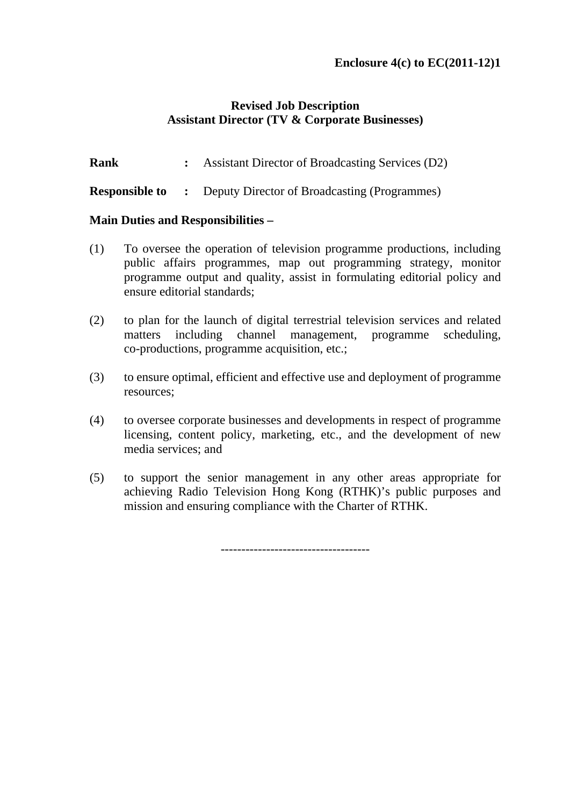## **Revised Job Description Assistant Director (TV & Corporate Businesses)**

**Rank** : Assistant Director of Broadcasting Services (D2)

**Responsible to** : Deputy Director of Broadcasting (Programmes)

#### **Main Duties and Responsibilities –**

- (1) To oversee the operation of television programme productions, including public affairs programmes, map out programming strategy, monitor programme output and quality, assist in formulating editorial policy and ensure editorial standards;
- (2) to plan for the launch of digital terrestrial television services and related matters including channel management, programme scheduling, co-productions, programme acquisition, etc.;
- (3) to ensure optimal, efficient and effective use and deployment of programme resources;
- (4) to oversee corporate businesses and developments in respect of programme licensing, content policy, marketing, etc., and the development of new media services; and
- (5) to support the senior management in any other areas appropriate for achieving Radio Television Hong Kong (RTHK)'s public purposes and mission and ensuring compliance with the Charter of RTHK.

------------------------------------